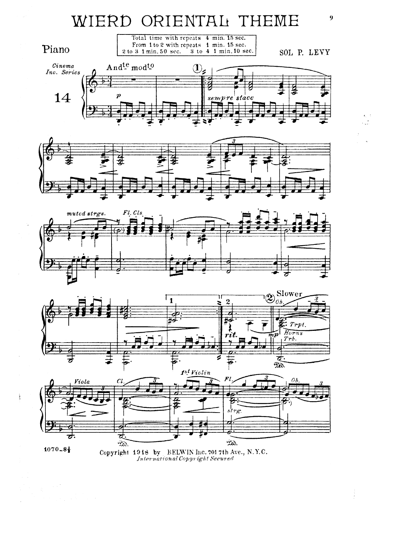









 $1070 - 8\frac{1}{2}$ 

Copyright 1918 by BELWIN Inc. 701 7th Ave., N.Y.C. International Copyright Secured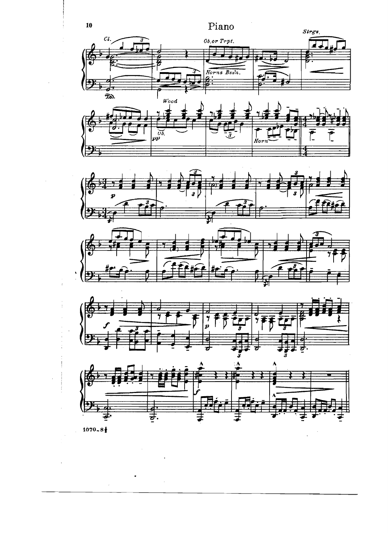











 $1070 - 8$ 

 $\overline{10}$